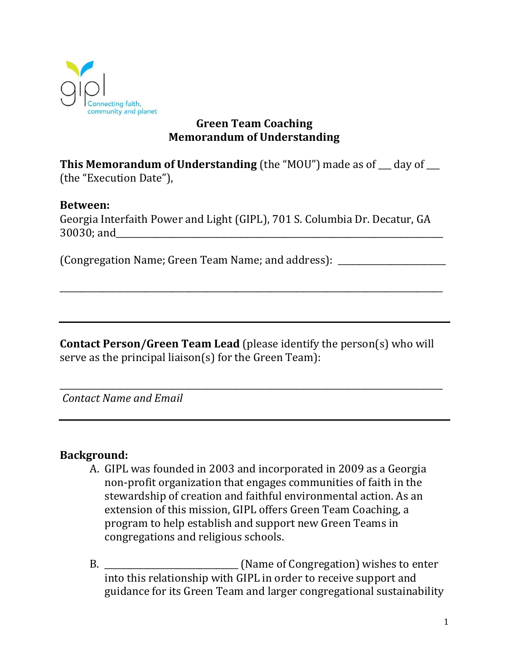

# **Green Team Coaching Memorandum of Understanding**

**This Memorandum of Understanding** (the "MOU") made as of day of (the "Execution Date"),

## **Between:**

Georgia Interfaith Power and Light (GIPL), 701 S. Columbia Dr. Decatur, GA  $30030;$  and

(Congregation Name; Green Team Name; and address): \_\_\_\_\_\_\_\_\_\_\_\_\_\_\_\_\_\_\_\_\_\_\_\_\_

**Contact Person/Green Team Lead** (please identify the person(s) who will serve as the principal liaison(s) for the Green Team):

\_\_\_\_\_\_\_\_\_\_\_\_\_\_\_\_\_\_\_\_\_\_\_\_\_\_\_\_\_\_\_\_\_\_\_\_\_\_\_\_\_\_\_\_\_\_\_\_\_\_\_\_\_\_\_\_\_\_\_\_\_\_\_\_\_\_\_\_\_\_\_\_\_\_\_\_\_\_\_\_\_\_\_\_\_\_\_\_\_

\_\_\_\_\_\_\_\_\_\_\_\_\_\_\_\_\_\_\_\_\_\_\_\_\_\_\_\_\_\_\_\_\_\_\_\_\_\_\_\_\_\_\_\_\_\_\_\_\_\_\_\_\_\_\_\_\_\_\_\_\_\_\_\_\_\_\_\_\_\_\_\_\_\_\_\_\_\_\_\_\_\_\_\_\_\_\_\_\_

*Contact Name and Email*

## **Background:**

- A. GIPL was founded in 2003 and incorporated in 2009 as a Georgia non-profit organization that engages communities of faith in the stewardship of creation and faithful environmental action. As an extension of this mission, GIPL offers Green Team Coaching, a program to help establish and support new Green Teams in congregations and religious schools.
- B. \_\_\_\_\_\_\_\_\_\_\_\_\_\_\_\_\_\_\_\_\_\_\_\_\_\_\_\_\_\_\_ (Name of Congregation) wishes to enter into this relationship with GIPL in order to receive support and guidance for its Green Team and larger congregational sustainability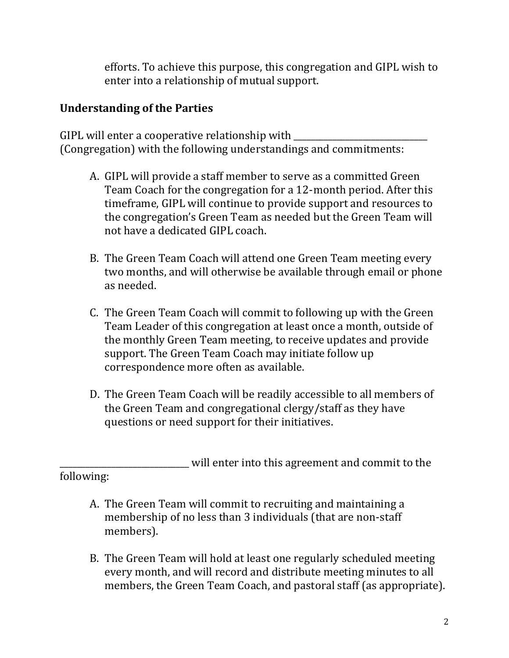efforts. To achieve this purpose, this congregation and GIPL wish to enter into a relationship of mutual support.

# **Understanding of the Parties**

GIPL will enter a cooperative relationship with (Congregation) with the following understandings and commitments:

- A. GIPL will provide a staff member to serve as a committed Green Team Coach for the congregation for a 12-month period. After this timeframe, GIPL will continue to provide support and resources to the congregation's Green Team as needed but the Green Team will not have a dedicated GIPL coach.
- B. The Green Team Coach will attend one Green Team meeting every two months, and will otherwise be available through email or phone as needed.
- C. The Green Team Coach will commit to following up with the Green Team Leader of this congregation at least once a month, outside of the monthly Green Team meeting, to receive updates and provide support. The Green Team Coach may initiate follow up correspondence more often as available.
- D. The Green Team Coach will be readily accessible to all members of the Green Team and congregational clergy/staff as they have questions or need support for their initiatives.

will enter into this agreement and commit to the following:

- A. The Green Team will commit to recruiting and maintaining a membership of no less than 3 individuals (that are non-staff members).
- B. The Green Team will hold at least one regularly scheduled meeting every month, and will record and distribute meeting minutes to all members, the Green Team Coach, and pastoral staff (as appropriate).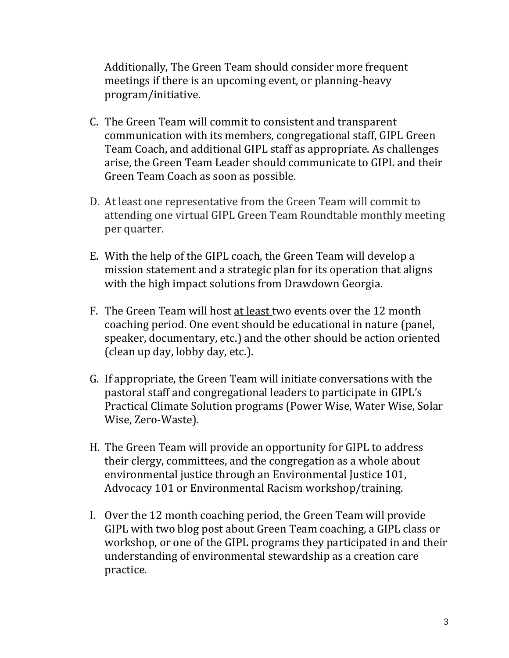Additionally, The Green Team should consider more frequent meetings if there is an upcoming event, or planning-heavy program/initiative.

- C. The Green Team will commit to consistent and transparent communication with its members, congregational staff, GIPL Green Team Coach, and additional GIPL staff as appropriate. As challenges arise, the Green Team Leader should communicate to GIPL and their Green Team Coach as soon as possible.
- D. At least one representative from the Green Team will commit to attending one virtual GIPL Green Team Roundtable monthly meeting per quarter.
- E. With the help of the GIPL coach, the Green Team will develop a mission statement and a strategic plan for its operation that aligns with the high impact solutions from Drawdown Georgia.
- F. The Green Team will host at least two events over the 12 month coaching period. One event should be educational in nature (panel, speaker, documentary, etc.) and the other should be action oriented (clean up day, lobby day, etc.).
- G. If appropriate, the Green Team will initiate conversations with the pastoral staff and congregational leaders to participate in GIPL's Practical Climate Solution programs (Power Wise, Water Wise, Solar Wise, Zero-Waste).
- H. The Green Team will provide an opportunity for GIPL to address their clergy, committees, and the congregation as a whole about environmental justice through an Environmental Justice 101, Advocacy 101 or Environmental Racism workshop/training.
- I. Over the 12 month coaching period, the Green Team will provide GIPL with two blog post about Green Team coaching, a GIPL class or workshop, or one of the GIPL programs they participated in and their understanding of environmental stewardship as a creation care practice.